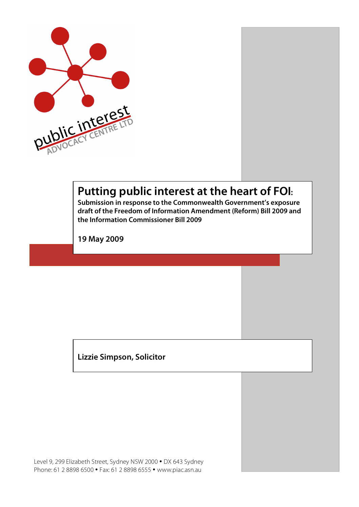

# **Putting public interest at the heart of FOI:**

**Submission in response to the Commonwealth Government's exposure draft of the Freedom of Information Amendment (Reform) Bill 2009 and the Information Commissioner Bill 2009**

**19 May 2009**

**Lizzie Simpson, Solicitor**

Level 9, 299 Elizabeth Street, Sydney NSW 2000 • DX 643 Sydney Phone: 61 2 8898 6500 • Fax: 61 2 8898 6555 • www.piac.asn.au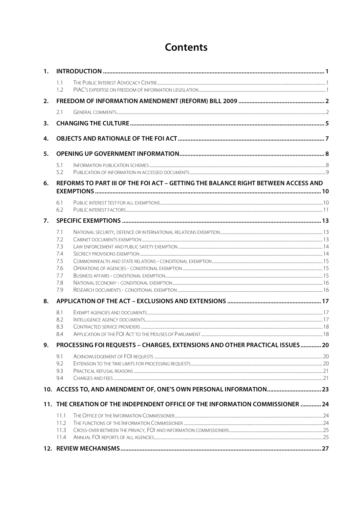## **Contents**

| 1. |                                                                                   |                                                                                |  |  |  |
|----|-----------------------------------------------------------------------------------|--------------------------------------------------------------------------------|--|--|--|
|    | 1.1<br>1.2                                                                        |                                                                                |  |  |  |
| 2. |                                                                                   |                                                                                |  |  |  |
|    | 2.1                                                                               |                                                                                |  |  |  |
| 3. |                                                                                   |                                                                                |  |  |  |
| 4. |                                                                                   |                                                                                |  |  |  |
| 5. |                                                                                   |                                                                                |  |  |  |
|    | 5.1                                                                               |                                                                                |  |  |  |
|    | 5.2                                                                               |                                                                                |  |  |  |
| 6. | REFORMS TO PART III OF THE FOI ACT - GETTING THE BALANCE RIGHT BETWEEN ACCESS AND |                                                                                |  |  |  |
|    | 6.1                                                                               |                                                                                |  |  |  |
|    | 6.2                                                                               |                                                                                |  |  |  |
| 7. |                                                                                   |                                                                                |  |  |  |
|    | 7.1                                                                               |                                                                                |  |  |  |
|    | 7.2                                                                               |                                                                                |  |  |  |
|    | 7.3                                                                               |                                                                                |  |  |  |
|    | 7.4<br>7.5                                                                        |                                                                                |  |  |  |
|    | 7.6                                                                               |                                                                                |  |  |  |
|    | 7.7                                                                               |                                                                                |  |  |  |
|    | 7.8                                                                               |                                                                                |  |  |  |
|    | 7.9                                                                               |                                                                                |  |  |  |
| 8. |                                                                                   |                                                                                |  |  |  |
|    | 8.1                                                                               |                                                                                |  |  |  |
|    | 8.2<br>8.3                                                                        |                                                                                |  |  |  |
|    | 8.4                                                                               |                                                                                |  |  |  |
| 9. |                                                                                   | PROCESSING FOI REQUESTS - CHARGES, EXTENSIONS AND OTHER PRACTICAL ISSUES  20   |  |  |  |
|    | 9.1                                                                               |                                                                                |  |  |  |
|    | 9.2                                                                               |                                                                                |  |  |  |
|    | 9.3                                                                               |                                                                                |  |  |  |
|    | 9.4                                                                               |                                                                                |  |  |  |
|    |                                                                                   |                                                                                |  |  |  |
|    |                                                                                   | 11. THE CREATION OF THE INDEPENDENT OFFICE OF THE INFORMATION COMMISSIONER  24 |  |  |  |
|    | 11.1                                                                              |                                                                                |  |  |  |
|    | 11.2<br>11.3                                                                      |                                                                                |  |  |  |
|    | 11.4                                                                              |                                                                                |  |  |  |
|    |                                                                                   |                                                                                |  |  |  |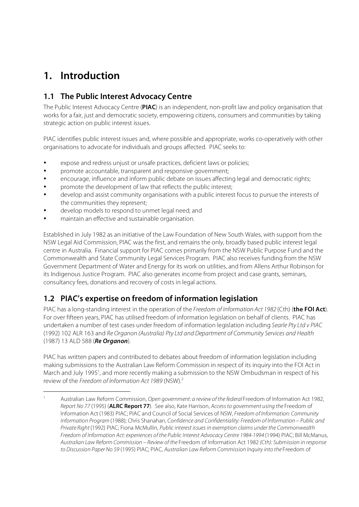## **1. Introduction**

## **1.1 The Public Interest Advocacy Centre**

The Public Interest Advocacy Centre (**PIAC**) is an independent, non-profit law and policy organisation that works for a fair, just and democratic society, empowering citizens, consumers and communities by taking strategic action on public interest issues.

PIAC identifies public interest issues and, where possible and appropriate, works co-operatively with other organisations to advocate for individuals and groups affected. PIAC seeks to:

- expose and redress unjust or unsafe practices, deficient laws or policies;
- promote accountable, transparent and responsive government;
- encourage, influence and inform public debate on issues affecting legal and democratic rights;
- promote the development of law that reflects the public interest;
- develop and assist community organisations with a public interest focus to pursue the interests of the communities they represent;
- develop models to respond to unmet legal need; and
- maintain an effective and sustainable organisation.

Established in July 1982 as an initiative of the Law Foundation of New South Wales, with support from the NSW Legal Aid Commission, PIAC was the first, and remains the only, broadly based public interest legal centre in Australia. Financial support for PIAC comes primarily from the NSW Public Purpose Fund and the Commonwealth and State Community Legal Services Program. PIAC also receives funding from the NSW Government Department of Water and Energy for its work on utilities, and from Allens Arthur Robinson for its Indigenous Justice Program. PIAC also generates income from project and case grants, seminars, consultancy fees, donations and recovery of costs in legal actions.

## **1.2 PIAC's expertise on freedom of information legislation**

PIAC has a long-standing interest in the operation of the Freedom of Information Act 1982 (Cth) (**the FOI Act**). For over fifteen years, PIAC has utilised freedom of information legislation on behalf of clients. PIAC has undertaken a number of test cases under freedom of information legislation including Searle Pty Ltd v PIAC (1992) 102 ALR 163 and Re Organon (Australia) Pty Ltd and Department of Community Services and Health (1987) 13 ALD 588 (**Re Organon**).

PIAC has written papers and contributed to debates about freedom of information legislation including making submissions to the Australian Law Reform Commission in respect of its inquiry into the FOI Act in March and July 1995<sup>1</sup>, and more recently making a submission to the NSW Ombudsman in respect of his review of the Freedom of Information Act 1989 (NSW).2

Australian Law Reform Commission, Open government: a review of the federal Freedom of Information Act 1982, Report No 77 (1995) (**ALRC Report 77**). See also, Kate Harrison, Access to government using the Freedom of Information Act (1983) PIAC; PIAC and Council of Social Services of NSW, Freedom of Information: Community Information Program (1988); Chris Shanahan, Confidence and Confidentiality: Freedom of Information – Public and Private Right (1992) PIAC; Fiona McMullin, Public interest issues in exemption claims under the Commonwealth Freedom of Information Act: experiences of the Public Interest Advocacy Centre 1984-1994 (1994) PIAC; Bill McManus, Australian Law Reform Commission – Review of the Freedom of Information Act 1982 (Cth): Submission in response to Discussion Paper No 59 (1995) PIAC; PIAC, Australian Law Reform Commission Inquiry into the Freedom of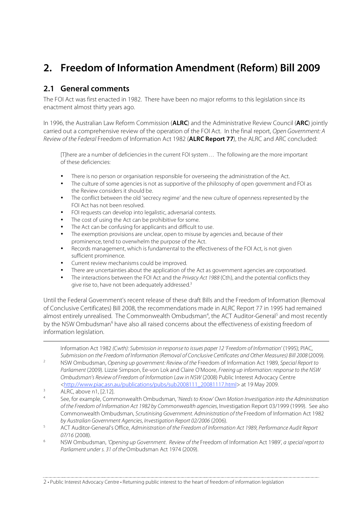## **2. Freedom of Information Amendment (Reform) Bill 2009**

### **2.1 General comments**

The FOI Act was first enacted in 1982. There have been no major reforms to this legislation since its enactment almost thirty years ago.

In 1996, the Australian Law Reform Commission (**ALRC**) and the Administrative Review Council (**ARC**) jointly carried out a comprehensive review of the operation of the FOI Act. In the final report, Open Government: A Review of the Federal Freedom of Information Act 1982 (**ALRC Report 77**), the ALRC and ARC concluded:

[T]here are a number of deficiencies in the current FOI system… The following are the more important of these deficiencies:

- There is no person or organisation responsible for overseeing the administration of the Act.
- The culture of some agencies is not as supportive of the philosophy of open government and FOI as the Review considers it should be.
- The conflict between the old 'secrecy regime' and the new culture of openness represented by the FOI Act has not been resolved.
- FOI requests can develop into legalistic, adversarial contests.
- The cost of using the Act can be prohibitive for some.
- The Act can be confusing for applicants and difficult to use.
- The exemption provisions are unclear, open to misuse by agencies and, because of their prominence, tend to overwhelm the purpose of the Act.
- Records management, which is fundamental to the effectiveness of the FOI Act, is not given sufficient prominence.
- Current review mechanisms could be improved.
- There are uncertainties about the application of the Act as government agencies are corporatised.
- The interactions between the FOI Act and the Privacy Act 1988 (Cth), and the potential conflicts they give rise to, have not been adequately addressed.<sup>3</sup>

Until the Federal Government's recent release of these draft Bills and the Freedom of Information (Removal of Conclusive Certificates) Bill 2008, the recommendations made in ALRC Report 77 in 1995 had remained almost entirely unrealised. The Commonwealth Ombudsman<sup>4</sup>, the ACT Auditor-General<sup>5</sup> and most recently by the NSW Ombudsman<sup>6</sup> have also all raised concerns about the effectiveness of existing freedom of information legislation.

Information Act 1982 (Cwth): Submission in response to issues paper 12 'Freedom of Information' (1995); PIAC, Submission on the Freedom of Information (Removal of Conclusive Certificates and Other Measures) Bill 2008 (2009).<br><sup>2</sup> NSW Ombudsman, Opening up government: Review of the Freedom of Information Act 1989, Special Report to

Parliament (2009). Lizzie Simpson, Ee-von Lok and Claire O'Moore, Freeing up information: response to the NSW Ombudsman's Review of Freedom of Information Law in NSW (2008) Public Interest Advocacy Centre <http://www.piac.asn.au/publications/pubs/sub2008111\_20081117.html> at 19 May 2009.

 $\overline{a}$ 

- See, for example, Commonwealth Ombudsman, 'Needs to Know' Own Motion Investigation into the Administration of the Freedom of Information Act 1982 by Commonwealth agencies, Investigation Report 03/1999 (1999). See also Commonwealth Ombudsman, Scrutinising Government. Administration of the Freedom of Information Act 1982 by Australian Government Agencies, Investigation Report 02/2006 (2006).
- <sup>5</sup> ACT Auditor-General's Office, Administration of the Freedom of Information Act 1989, Performance Audit Report 07/16 (2008).
- <sup>6</sup> NSW Ombudsman, 'Opening up Government. Review of the Freedom of Information Act 1989', a special report to Parliament under s. 31 of the Ombudsman Act 1974 (2009).

 $\frac{3}{4}$  ALRC, above n1, [2.12].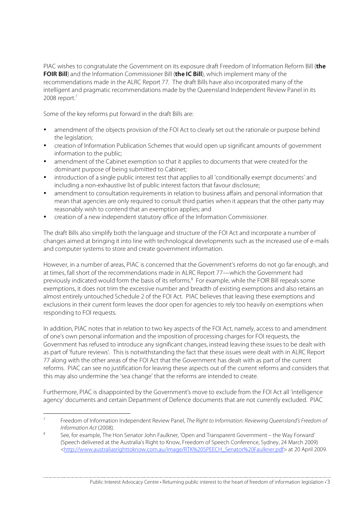PIAC wishes to congratulate the Government on its exposure draft Freedom of Information Reform Bill (**the FOIR Bill**) and the Information Commissioner Bill (**the IC Bill**), which implement many of the recommendations made in the ALRC Report 77. The draft Bills have also incorporated many of the intelligent and pragmatic recommendations made by the Queensland Independent Review Panel in its 2008 report. $7$ 

Some of the key reforms put forward in the draft Bills are:

- amendment of the objects provision of the FOI Act to clearly set out the rationale or purpose behind the legislation;
- creation of Information Publication Schemes that would open up significant amounts of government information to the public;
- amendment of the Cabinet exemption so that it applies to documents that were created for the dominant purpose of being submitted to Cabinet;
- introduction of a single public interest test that applies to all 'conditionally exempt documents' and including a non-exhaustive list of public interest factors that favour disclosure;
- amendment to consultation requirements in relation to business affairs and personal information that mean that agencies are only required to consult third parties when it appears that the other party may reasonably wish to contend that an exemption applies; and
- creation of a new independent statutory office of the Information Commissioner.

The draft Bills also simplify both the language and structure of the FOI Act and incorporate a number of changes aimed at bringing it into line with technological developments such as the increased use of e-mails and computer systems to store and create government information.

However, in a number of areas, PIAC is concerned that the Government's reforms do not go far enough, and at times, fall short of the recommendations made in ALRC Report 77—which the Government had previously indicated would form the basis of its reforms.<sup>8</sup> For example, while the FOIR Bill repeals some exemptions, it does not trim the excessive number and breadth of existing exemptions and also retains an almost entirely untouched Schedule 2 of the FOI Act. PIAC believes that leaving these exemptions and exclusions in their current form leaves the door open for agencies to rely too heavily on exemptions when responding to FOI requests.

In addition, PIAC notes that in relation to two key aspects of the FOI Act, namely, access to and amendment of one's own personal information and the imposition of processing charges for FOI requests, the Government has refused to introduce any significant changes, instead leaving these issues to be dealt with as part of 'future reviews'. This is notwithstanding the fact that these issues were dealt with in ALRC Report 77 along with the other areas of the FOI Act that the Government has dealt with as part of the current reforms. PIAC can see no justification for leaving these aspects out of the current reforms and considers that this may also undermine the 'sea change' that the reforms are intended to create.

Furthermore, PIAC is disappointed by the Government's move to exclude from the FOI Act all 'intelligence agency' documents and certain Department of Defence documents that are not currently excluded. PIAC

Freedom of Information Independent Review Panel, The Right to Information: Reviewing Queensland's Freedom of Information Act (2008).

<sup>8</sup> See, for example, The Hon Senator John Faulkner, 'Open and Transparent Government – the Way Forward' (Speech delivered at the Australia's Right to Know, Freedom of Speech Conference, Sydney, 24 March 2009) <http://www.australiasrighttoknow.com.au/image/RTK%20SPEECH\_Senator%20Faulkner.pdf> at 20 April 2009.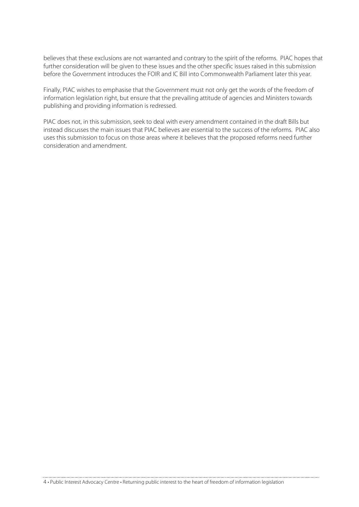believes that these exclusions are not warranted and contrary to the spirit of the reforms. PIAC hopes that further consideration will be given to these issues and the other specific issues raised in this submission before the Government introduces the FOIR and IC Bill into Commonwealth Parliament later this year.

Finally, PIAC wishes to emphasise that the Government must not only get the words of the freedom of information legislation right, but ensure that the prevailing attitude of agencies and Ministers towards publishing and providing information is redressed.

PIAC does not, in this submission, seek to deal with every amendment contained in the draft Bills but instead discusses the main issues that PIAC believes are essential to the success of the reforms. PIAC also uses this submission to focus on those areas where it believes that the proposed reforms need further consideration and amendment.

4 • Public Interest Advocacy Centre • Returning public interest to the heart of freedom of information legislation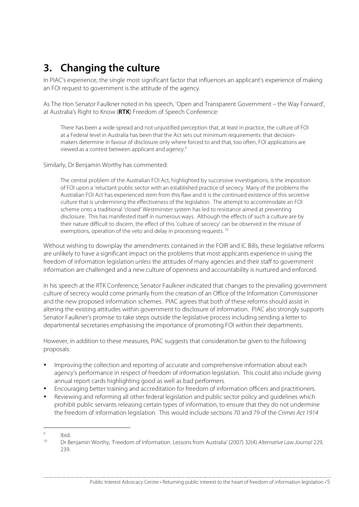## **3. Changing the culture**

In PIAC's experience, the single most significant factor that influences an applicant's experience of making an FOI request to government is the attitude of the agency.

As The Hon Senator Faulkner noted in his speech, 'Open and Transparent Government – the Way Forward', at Australia's Right to Know (**RTK**) Freedom of Speech Conference:

There has been a wide-spread and not unjustified perception that, at least in practice, the culture of FOI at a Federal level in Australia has been that the Act sets out minimum requirements: that decisionmakers determine in favour of disclosure only where forced to and that, too often, FOI applications are viewed as a contest between applicant and agency.9

Similarly, Dr Benjamin Worthy has commented:

The central problem of the Australian FOI Act, highlighted by successive investigations, is the imposition of FOI upon a 'reluctant public sector with an established practice of secrecy. Many of the problems the Australian FOI Act has experienced stem from this flaw and it is the continued existence of this secretive culture that is undermining the effectiveness of the legislation. The attempt to accommodate an FOI scheme onto a traditional 'closed' Westminster system has led to resistance aimed at preventing disclosure. This has manifested itself in numerous ways. Although the effects of such a culture are by their nature difficult to discern, the effect of this 'culture of secrecy' can be observed in the misuse of exemptions, operation of the veto and delay in processing requests.<sup>10</sup>

Without wishing to downplay the amendments contained in the FOIR and IC Bills, these legislative reforms are unlikely to have a significant impact on the problems that most applicants experience in using the freedom of information legislation *unless* the attitudes of many agencies and their staff to government information are challenged and a new culture of openness and accountability is nurtured and enforced.

In his speech at the RTK Conference, Senator Faulkner indicated that changes to the prevailing government culture of secrecy would come primarily from the creation of an Office of the Information Commissioner and the new proposed information schemes. PIAC agrees that both of these reforms should assist in altering the existing attitudes within government to disclosure of information. PIAC also strongly supports Senator Faulkner's promise to take steps outside the legislative process including sending a letter to departmental secretaries emphasising the importance of promoting FOI within their departments.

However, in addition to these measures, PIAC suggests that consideration be given to the following proposals:

- Improving the collection and reporting of accurate and comprehensive information about each agency's performance in respect of freedom of information legislation. This could also include giving annual report cards highlighting good as well as bad performers.
- Encouraging better training and accreditation for freedom of information officers and practitioners.
- Reviewing and reforming all other federal legislation and public sector policy and guidelines which prohibit public servants releasing certain types of information, to ensure that they do not undermine the freedom of information legislation. This would include sections 70 and 79 of the Crimes Act 1914

 $\frac{9}{10}$  Ibid.

Dr Benjamin Worthy, 'Freedom of Information. Lessons from Australia' (2007) 32(4) Alternative Law Journal 229, 239.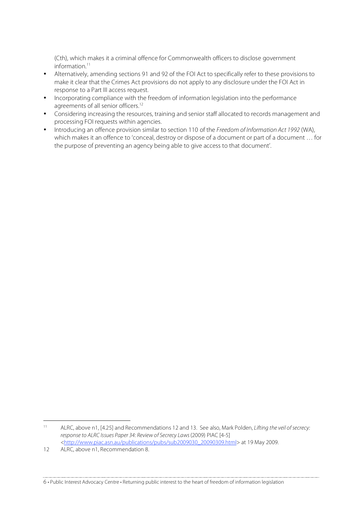(Cth), which makes it a criminal offence for Commonwealth officers to disclose government information.<sup>11</sup>

- Alternatively, amending sections 91 and 92 of the FOI Act to specifically refer to these provisions to make it clear that the Crimes Act provisions do not apply to any disclosure under the FOI Act in response to a Part III access request.
- Incorporating compliance with the freedom of information legislation into the performance agreements of all senior officers.<sup>12</sup>
- Considering increasing the resources, training and senior staff allocated to records management and processing FOI requests within agencies.
- Introducing an offence provision similar to section 110 of the Freedom of Information Act 1992 (WA), which makes it an offence to 'conceal, destroy or dispose of a document or part of a document … for the purpose of preventing an agency being able to give access to that document'.

 <sup>11</sup> ALRC, above n1, [4.25] and Recommendations 12 and 13. See also, Mark Polden, Lifting the veil of secrecy: response to ALRC Issues Paper 34: Review of Secrecy Laws (2009) PIAC [4-5] <http://www.piac.asn.au/publications/pubs/sub2009030\_20090309.html> at 19 May 2009.

<sup>12</sup> ALRC, above n1, Recommendation 8.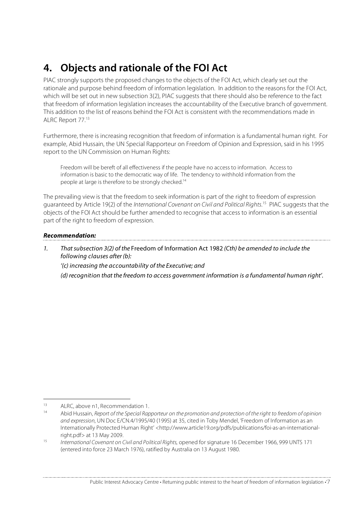## **4. Objects and rationale of the FOI Act**

PIAC strongly supports the proposed changes to the objects of the FOI Act, which clearly set out the rationale and purpose behind freedom of information legislation. In addition to the reasons for the FOI Act, which will be set out in new subsection 3(2), PIAC suggests that there should also be reference to the fact that freedom of information legislation increases the accountability of the Executive branch of government. This addition to the list of reasons behind the FOI Act is consistent with the recommendations made in ALRC Report 77.13

Furthermore, there is increasing recognition that freedom of information is a fundamental human right. For example, Abid Hussain, the UN Special Rapporteur on Freedom of Opinion and Expression, said in his 1995 report to the UN Commission on Human Rights:

Freedom will be bereft of all effectiveness if the people have no access to information. Access to information is basic to the democratic way of life. The tendency to withhold information from the people at large is therefore to be strongly checked.14

The prevailing view is that the freedom to seek information is part of the right to freedom of expression guaranteed by Article 19(2) of the International Covenant on Civil and Political Rights.<sup>15</sup> PIAC suggests that the objects of the FOI Act should be further amended to recognise that access to information is an essential part of the right to freedom of expression.

#### **Recommendation:**

- 1. That subsection 3(2) of the Freedom of Information Act 1982 (Cth) be amended to include the following clauses after (b):
	- '(c) increasing the accountability of the Executive; and

(d) recognition that the freedom to access government information is a fundamental human right'.

<sup>&</sup>lt;sup>13</sup> ALRC, above n1, Recommendation 1.

Abid Hussain, Report of the Special Rapporteur on the promotion and protection of the right to freedom of opinion and expression, UN Doc E/CN.4/1995/40 (1995) at 35, cited in Toby Mendel, 'Freedom of Information as an Internationally Protected Human Right' <http://www.article19.org/pdfs/publications/foi-as-an-international-

right.pdf> at 13 May 2009.<br>15 International Covenant on Civil and Political Rights, opened for signature 16 December 1966, 999 UNTS 171 (entered into force 23 March 1976), ratified by Australia on 13 August 1980.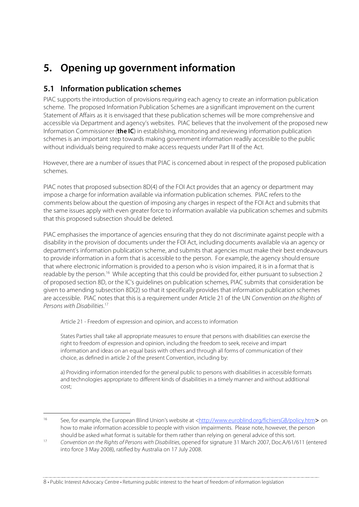## **5. Opening up government information**

## **5.1 Information publication schemes**

PIAC supports the introduction of provisions requiring each agency to create an information publication scheme. The proposed Information Publication Schemes are a significant improvement on the current Statement of Affairs as it is envisaged that these publication schemes will be more comprehensive and accessible via Department and agency's websites. PIAC believes that the involvement of the proposed new Information Commissioner (**the IC**) in establishing, monitoring and reviewing information publication schemes is an important step towards making government information readily accessible to the public without individuals being required to make access requests under Part III of the Act.

However, there are a number of issues that PIAC is concerned about in respect of the proposed publication schemes.

PIAC notes that proposed subsection 8D(4) of the FOI Act provides that an agency or department may impose a charge for information available via information publication schemes. PIAC refers to the comments below about the question of imposing any charges in respect of the FOI Act and submits that the same issues apply with even greater force to information available via publication schemes and submits that this proposed subsection should be deleted.

PIAC emphasises the importance of agencies ensuring that they do not discriminate against people with a disability in the provision of documents under the FOI Act, including documents available via an agency or department's information publication scheme, and submits that agencies must make their best endeavours to provide information in a form that is accessible to the person. For example, the agency should ensure that where electronic information is provided to a person who is vision impaired, it is in a format that is readable by the person.<sup>16</sup> While accepting that this could be provided for, either pursuant to subsection 2 of proposed section 8D, or the IC's guidelines on publication schemes, PIAC submits that consideration be given to amending subsection 8D(2) so that it specifically provides that information publication schemes are accessible. PIAC notes that this is a requirement under Article 21 of the UN Convention on the Rights of Persons with Disabilities. 17

Article 21 - Freedom of expression and opinion, and access to information

States Parties shall take all appropriate measures to ensure that persons with disabilities can exercise the right to freedom of expression and opinion, including the freedom to seek, receive and impart information and ideas on an equal basis with others and through all forms of communication of their choice, as defined in article 2 of the present Convention, including by:

a) Providing information intended for the general public to persons with disabilities in accessible formats and technologies appropriate to different kinds of disabilities in a timely manner and without additional cost;

 <sup>16</sup> See, for example, the European Blind Union's website at <http://www.euroblind.org/fichiersGB/policy.htm> on how to make information accessible to people with vision impairments. Please note, however, the person should be asked what format is suitable for them rather than relying on general advice of this sort.

<sup>17</sup> Convention on the Rights of Persons with Disabilities, opened for signature 31 March 2007, Doc.A/61/611 (entered into force 3 May 2008), ratified by Australia on 17 July 2008.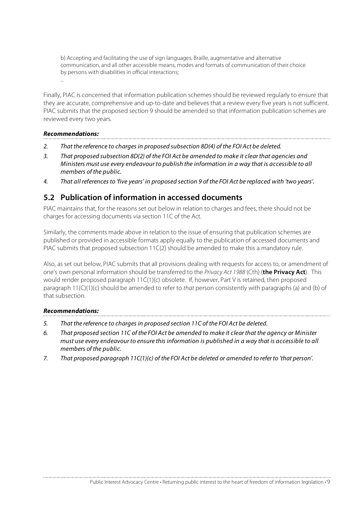b) Accepting and facilitating the use of sign languages, Braille, augmentative and alternative communication, and all other accessible means, modes and formats of communication of their choice by persons with disabilities in official interactions;

Finally, PIAC is concerned that information publication schemes should be reviewed regularly to ensure that they are accurate, comprehensive and up-to-date and believes that a review every five years is not sufficient. PIAC submits that the proposed section 9 should be amended so that information publication schemes are reviewed every two years.

#### **Recommendations:**

...

- 2. That the reference to charges in proposed subsection 8D(4) of the FOI Act be deleted.
- 3. That proposed subsection 8D(2) of the FOI Act be amended to make it clear that agencies and Ministers must use every endeavour to publish the information in a way that is accessible to all members of the public.
- 4. That all references to 'five years' in proposed section 9 of the FOI Act be replaced with 'two years'.

### **5.2 Publication of information in accessed documents**

PIAC maintains that, for the reasons set out below in relation to charges and fees, there should not be charges for accessing documents via section 11C of the Act.

Similarly, the comments made above in relation to the issue of ensuring that publication schemes are published or provided in accessible formats apply equally to the publication of accessed documents and PIAC submits that proposed subsection 11C(2) should be amended to make this a mandatory rule.

Also, as set out below, PIAC submits that all provisions dealing with requests for access to, or amendment of one's own personal information should be transferred to the Privacy Act 1988 (Cth) (**the Privacy Act**). This would render proposed paragraph 11C(1)(c) obsolete. If, however, Part V is retained, then proposed paragraph  $11(C)(1)(c)$  should be amended to refer to that person consistently with paragraphs (a) and (b) of that subsection.

#### **Recommendations:**

- 5. That the reference to charges in proposed section 11C of the FOI Act be deleted.
- 6. That proposed section 11C of the FOI Act be amended to make it clear that the agency or Minister must use every endeavour to ensure this information is published in a way that is accessible to all members of the public.
- 7. That proposed paragraph 11C(1)(c) of the FOI Act be deleted or amended to refer to 'that person'.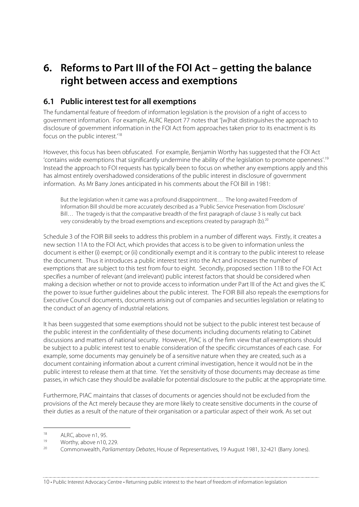## **6. Reforms to Part III of the FOI Act – getting the balance right between access and exemptions**

## **6.1 Public interest test for all exemptions**

The fundamental feature of freedom of information legislation is the provision of a right of access to government information. For example, ALRC Report 77 notes that '[w]hat distinguishes the approach to disclosure of government information in the FOI Act from approaches taken prior to its enactment is its focus on the public interest.'18

However, this focus has been obfuscated. For example, Benjamin Worthy has suggested that the FOI Act 'contains wide exemptions that significantly undermine the ability of the legislation to promote openness'.19 Instead the approach to FOI requests has typically been to focus on whether any exemptions apply and this has almost entirely overshadowed considerations of the public interest in disclosure of government information. As Mr Barry Jones anticipated in his comments about the FOI Bill in 1981:

But the legislation when it came was a profound disappointment… The long-awaited Freedom of Information Bill should be more accurately described as a 'Public Service Preservation from Disclosure' Bill… The tragedy is that the comparative breadth of the first paragraph of clause 3 is really cut back very considerably by the broad exemptions and exceptions created by paragraph (b).20

Schedule 3 of the FOIR Bill seeks to address this problem in a number of different ways. Firstly, it creates a new section 11A to the FOI Act, which provides that access is to be given to information unless the document is either (i) exempt; or (ii) conditionally exempt and it is contrary to the public interest to release the document. Thus it introduces a public interest test into the Act and increases the number of exemptions that are subject to this test from four to eight. Secondly, proposed section 11B to the FOI Act specifies a number of relevant (and irrelevant) public interest factors that should be considered when making a decision whether or not to provide access to information under Part III of the Act and gives the IC the power to issue further guidelines about the public interest. The FOIR Bill also repeals the exemptions for Executive Council documents, documents arising out of companies and securities legislation or relating to the conduct of an agency of industrial relations.

It has been suggested that some exemptions should not be subject to the public interest test because of the public interest in the confidentiality of these documents including documents relating to Cabinet discussions and matters of national security. However, PIAC is of the firm view that all exemptions should be subject to a public interest test to enable consideration of the specific circumstances of each case. For example, some documents may genuinely be of a sensitive nature when they are created, such as a document containing information about a current criminal investigation, hence it would not be in the public interest to release them at that time. Yet the sensitivity of those documents may decrease as time passes, in which case they should be available for potential disclosure to the public at the appropriate time.

Furthermore, PIAC maintains that classes of documents or agencies should not be excluded from the provisions of the Act merely because they are more likely to create sensitive documents in the course of their duties as a result of the nature of their organisation or a particular aspect of their work. As set out

 $18$  ALRC, above n1, 95.

 $\frac{19}{20}$  Worthy, above n10, 229.

<sup>20</sup> Commonwealth, Parliamentary Debates, House of Representatives, 19 August 1981, 32-421 (Barry Jones).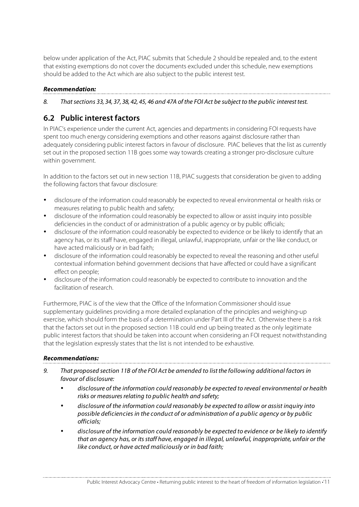below under application of the Act, PIAC submits that Schedule 2 should be repealed and, to the extent that existing exemptions do not cover the documents excluded under this schedule, new exemptions should be added to the Act which are also subject to the public interest test.

#### **Recommendation:**

8. That sections 33, 34, 37, 38, 42, 45, 46 and 47A of the FOI Act be subject to the public interest test.

## **6.2 Public interest factors**

In PIAC's experience under the current Act, agencies and departments in considering FOI requests have spent too much energy considering exemptions and other reasons against disclosure rather than adequately considering public interest factors in favour of disclosure. PIAC believes that the list as currently set out in the proposed section 11B goes some way towards creating a stronger pro-disclosure culture within government.

In addition to the factors set out in new section 11B, PIAC suggests that consideration be given to adding the following factors that favour disclosure:

- disclosure of the information could reasonably be expected to reveal environmental or health risks or measures relating to public health and safety;
- disclosure of the information could reasonably be expected to allow or assist inquiry into possible deficiencies in the conduct of or administration of a public agency or by public officials;
- disclosure of the information could reasonably be expected to evidence or be likely to identify that an agency has, or its staff have, engaged in illegal, unlawful, inappropriate, unfair or the like conduct, or have acted maliciously or in bad faith;
- disclosure of the information could reasonably be expected to reveal the reasoning and other useful contextual information behind government decisions that have affected or could have a significant effect on people;
- disclosure of the information could reasonably be expected to contribute to innovation and the facilitation of research.

Furthermore, PIAC is of the view that the Office of the Information Commissioner should issue supplementary guidelines providing a more detailed explanation of the principles and weighing-up exercise, which should form the basis of a determination under Part III of the Act. Otherwise there is a risk that the factors set out in the proposed section 11B could end up being treated as the only legitimate public interest factors that should be taken into account when considering an FOI request notwithstanding that the legislation expressly states that the list is not intended to be exhaustive.

#### **Recommendations:**

- 9. That proposed section 11B of the FOI Act be amended to list the following additional factors in favour of disclosure:
	- disclosure of the information could reasonably be expected to reveal environmental or health risks or measures relating to public health and safety;
	- disclosure of the information could reasonably be expected to allow or assist inquiry into possible deficiencies in the conduct of or administration of a public agency or by public officials;
	- disclosure of the information could reasonably be expected to evidence or be likely to identify that an agency has, or its staff have, engaged in illegal, unlawful, inappropriate, unfair or the like conduct, or have acted maliciously or in bad faith;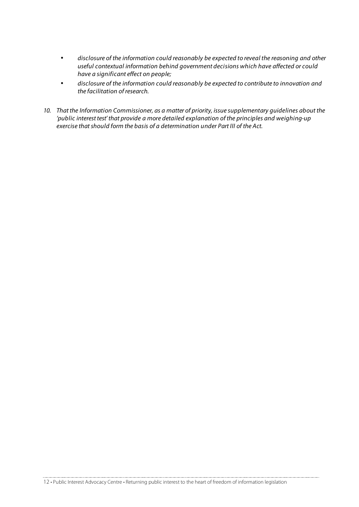- disclosure of the information could reasonably be expected to reveal the reasoning and other useful contextual information behind government decisions which have affected or could have a significant effect on people;
- disclosure of the information could reasonably be expected to contribute to innovation and the facilitation of research.
- 10. That the Information Commissioner, as a matter of priority, issue supplementary guidelines about the 'public interest test' that provide a more detailed explanation of the principles and weighing-up exercise that should form the basis of a determination under Part III of the Act.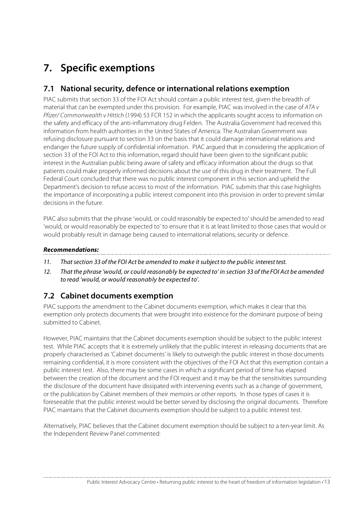## **7. Specific exemptions**

## **7.1 National security, defence or international relations exemption**

PIAC submits that section 33 of the FOI Act should contain a public interest test, given the breadth of material that can be exempted under this provision. For example, PIAC was involved in the case of ATA v Pfizer/ Commonwealth v Hittich (1994) 53 FCR 152 in which the applicants sought access to information on the safety and efficacy of the anti-inflammatory drug Felden. The Australia Government had received this information from health authorities in the United States of America. The Australian Government was refusing disclosure pursuant to section 33 on the basis that it could damage international relations and endanger the future supply of confidential information. PIAC argued that in considering the application of section 33 of the FOI Act to this information, regard should have been given to the significant public interest in the Australian public being aware of safety and efficacy information about the drugs so that patients could make properly informed decisions about the use of this drug in their treatment. The Full Federal Court concluded that there was no public interest component in this section and upheld the Department's decision to refuse access to most of the information. PIAC submits that this case highlights the importance of incorporating a public interest component into this provision in order to prevent similar decisions in the future.

PIAC also submits that the phrase 'would, or could reasonably be expected to' should be amended to read 'would, or would reasonably be expected to' to ensure that it is at least limited to those cases that would or would probably result in damage being caused to international relations, security or defence.

#### **Recommendations:**

- 11. That section 33 of the FOI Act be amended to make it subject to the public interest test.
- 12. That the phrase 'would, or could reasonably be expected to' in section 33 of the FOI Act be amended to read 'would, or would reasonably be expected to'.

## **7.2 Cabinet documents exemption**

PIAC supports the amendment to the Cabinet documents exemption, which makes it clear that this exemption only protects documents that were brought into existence for the dominant purpose of being submitted to Cabinet.

However, PIAC maintains that the Cabinet documents exemption should be subject to the public interest test. While PIAC accepts that it is extremely unlikely that the public interest in releasing documents that are properly characterised as 'Cabinet documents' is likely to outweigh the public interest in those documents remaining confidential, it is more consistent with the objectives of the FOI Act that this exemption contain a public interest test. Also, there may be some cases in which a significant period of time has elapsed between the creation of the document and the FOI request and it may be that the sensitivities surrounding the disclosure of the document have dissipated with intervening events such as a change of government, or the publication by Cabinet members of their memoirs or other reports. In those types of cases it is foreseeable that the public interest would be better served by disclosing the original documents. Therefore PIAC maintains that the Cabinet documents exemption should be subject to a public interest test.

Alternatively, PIAC believes that the Cabinet document exemption should be subject to a ten-year limit. As the Independent Review Panel commented: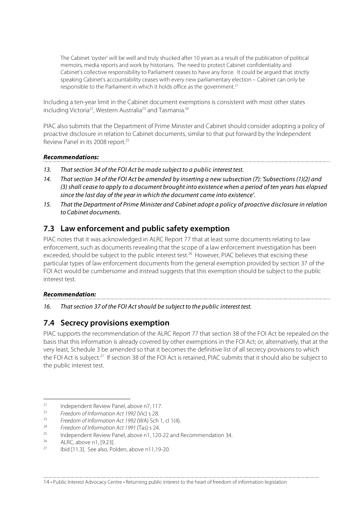The Cabinet 'oyster' will be well and truly shucked after 10 years as a result of the publication of political memoirs, media reports and work by historians. The need to protect Cabinet confidentiality and Cabinet's collective responsibility to Parliament ceases to have any force. It could be argued that strictly speaking Cabinet's accountability ceases with every new parliamentary election – Cabinet can only be responsible to the Parliament in which it holds office as the government.<sup>21</sup>

Including a ten-year limit in the Cabinet document exemptions is consistent with most other states including Victoria<sup>22</sup>, Western Australia<sup>23</sup> and Tasmania.<sup>24</sup>

PIAC also submits that the Department of Prime Minister and Cabinet should consider adopting a policy of proactive disclosure in relation to Cabinet documents, similar to that put forward by the Independent Review Panel in its 2008 report.25

#### **Recommendations:**

- 13. That section 34 of the FOI Act be made subject to a public interest test.
- 14. That section 34 of the FOI Act be amended by inserting a new subsection (7): 'Subsections (1)(2) and (3) shall cease to apply to a document brought into existence when a period of ten years has elapsed since the last day of the year in which the document came into existence'.

15. That the Department of Prime Minister and Cabinet adopt a policy of proactive disclosure in relation to Cabinet documents.

## **7.3 Law enforcement and public safety exemption**

PIAC notes that it was acknowledged in ALRC Report 77 that at least some documents relating to law enforcement, such as documents revealing that the scope of a law enforcement investigation has been exceeded, should be subject to the public interest test.<sup>26</sup> However, PIAC believes that excising these particular types of law enforcement documents from the general exemption provided by section 37 of the FOI Act would be cumbersome and instead suggests that this exemption should be subject to the public interest test.

#### **Recommendation:**

16. That section 37 of the FOI Act should be subject to the public interest test.

## **7.4 Secrecy provisions exemption**

PIAC supports the recommendation of the ALRC Report 77 that section 38 of the FOI Act be repealed on the basis that this information is already covered by other exemptions in the FOI Act; or, alternatively, that at the very least, Schedule 3 be amended so that it becomes the definitive list of all secrecy provisions to which the FOI Act is subject.<sup>27</sup> If section 38 of the FOI Act is retained, PIAC submits that it should also be subject to the public interest test.

<sup>&</sup>lt;sup>21</sup> Independent Review Panel, above n7, 117.

<sup>&</sup>lt;sup>22</sup> Freedom of Information Act 1992 (Vic) s 28.<br>Freedom of Information Act 1992 (MA) Sch

<sup>&</sup>lt;sup>23</sup> Freedom of Information Act 1992 (WA) Sch 1, cl 1(4).

<sup>&</sup>lt;sup>24</sup> Freedom of Information Act 1991 (Tas) s 24.

<sup>&</sup>lt;sup>25</sup> Independent Review Panel, above n1, 120-22 and Recommendation 34.<br><sup>26</sup> ALRC, above n1, [9.23].

Ibid [11.3]. See also, Polden, above n11,19-20.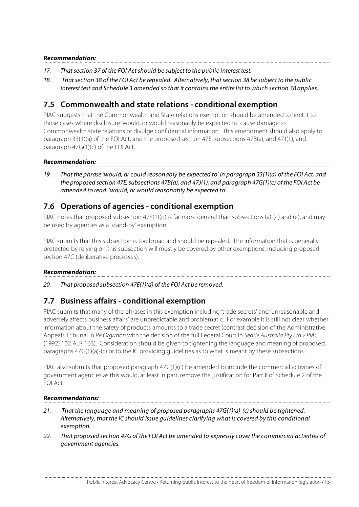#### **Recommendation:**

- 17. That section 37 of the FOI Act should be subject to the public interest test.
- 18. That section 38 of the FOI Act be repealed. Alternatively, that section 38 be subject to the public interest test and Schedule 3 amended so that it contains the entire list to which section 38 applies.

### **7.5 Commonwealth and state relations - conditional exemption**

PIAC suggests that the Commonwealth and State relations exemption should be amended to limit it to those cases where disclosure 'would, or would reasonably be expected to' cause damage to Commonwealth state relations or divulge confidential information. This amendment should also apply to paragraph 33(1)(a) of the FOI Act, and the proposed section 47E, subsections 47B(a), and 47J(1), and paragraph 47G(1)(c) of the FOI Act.

#### **Recommendation:**

19. That the phrase 'would, or could reasonably be expected to' in paragraph 33(1)(a) of the FOI Act, and the proposed section 47E, subsections 47B(a), and 47J(1), and paragraph 47G(1)(c) of the FOI Act be amended to read: 'would, or would reasonably be expected to'.

## **7.6 Operations of agencies - conditional exemption**

PIAC notes that proposed subsection 47E(1)(d) is far more general than subsections (a)-(c) and (e), and may be used by agencies as a 'stand-by' exemption.

PIAC submits that this subsection is too broad and should be repealed. The information that is generally protected by relying on this subsection will mostly be covered by other exemptions, including proposed section 47C (deliberative processes).

#### **Recommendation:**

20. That proposed subsection 47E(1)(d) of the FOI Act be removed.

### **7.7 Business affairs - conditional exemption**

PIAC submits that many of the phrases in this exemption including 'trade secrets' and 'unreasonable and adversely affects business affairs' are unpredictable and problematic. For example it is still not clear whether information about the safety of products amounts to a trade secret (contrast decision of the Administrative Appeals Tribunal in Re Organon with the decision of the full Federal Court in Searle Australia Pty Ltd v PIAC (1992) 102 ALR 163). Consideration should be given to tightening the language and meaning of proposed paragraphs 47G(1)(a)-(c) or to the IC providing guidelines as to what is meant by these subsections.

PIAC also submits that proposed paragraph 47G(1)(c) be amended to include the commercial activities of government agencies as this would, at least in part, remove the justification for Part II of Schedule 2 of the FOI Act.

#### **Recommendations:**

- 21. That the language and meaning of proposed paragraphs 47G(1)(a)-(c) should be tightened. Alternatively, that the IC should issue guidelines clarifying what is covered by this conditional exemption.
- 22. That proposed section 47G of the FOI Act be amended to expressly cover the commercial activities of government agencies.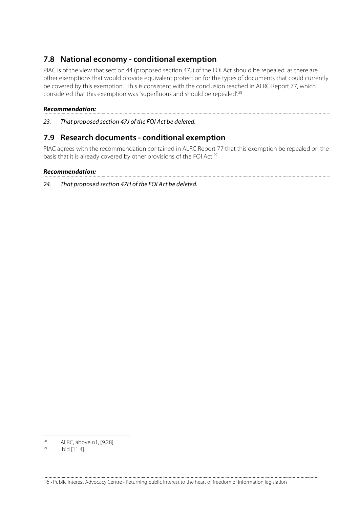## **7.8 National economy - conditional exemption**

PIAC is of the view that section 44 (proposed section 47J) of the FOI Act should be repealed, as there are other exemptions that would provide equivalent protection for the types of documents that could currently be covered by this exemption. This is consistent with the conclusion reached in ALRC Report 77, which considered that this exemption was 'superfluous and should be repealed'.28

#### **Recommendation:**

23. That proposed section 47J of the FOI Act be deleted.

### **7.9 Research documents - conditional exemption**

PIAC agrees with the recommendation contained in ALRC Report 77 that this exemption be repealed on the basis that it is already covered by other provisions of the FOI Act.<sup>29</sup>

#### **Recommendation:**

24. That proposed section 47H of the FOI Act be deleted.

 $28$  ALRC, above n1, [9.28].

Ibid [11.4].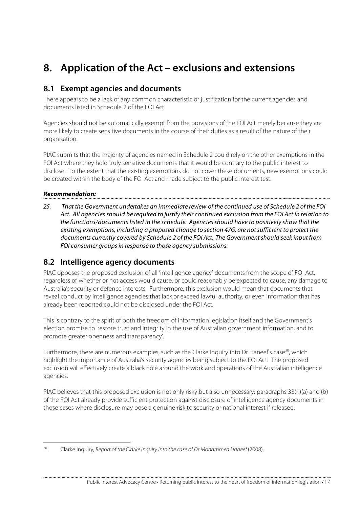## **8. Application of the Act – exclusions and extensions**

### **8.1 Exempt agencies and documents**

There appears to be a lack of any common characteristic or justification for the current agencies and documents listed in Schedule 2 of the FOI Act.

Agencies should not be automatically exempt from the provisions of the FOI Act merely because they are more likely to create sensitive documents in the course of their duties as a result of the nature of their organisation.

PIAC submits that the majority of agencies named in Schedule 2 could rely on the other exemptions in the FOI Act where they hold truly sensitive documents that it would be contrary to the public interest to disclose. To the extent that the existing exemptions do not cover these documents, new exemptions could be created within the body of the FOI Act and made subject to the public interest test.

#### **Recommendation:**

25. That the Government undertakes an immediate review of the continued use of Schedule 2 of the FOI Act. All agencies should be required to justify their continued exclusion from the FOI Act in relation to the functions/documents listed in the schedule. Agencies should have to positively show that the existing exemptions, including a proposed change to section 47G, are not sufficient to protect the documents currently covered by Schedule 2 of the FOI Act. The Government should seek input from FOI consumer groups in response to those agency submissions.

### **8.2 Intelligence agency documents**

PIAC opposes the proposed exclusion of all 'intelligence agency' documents from the scope of FOI Act, regardless of whether or not access would cause, or could reasonably be expected to cause, any damage to Australia's security or defence interests. Furthermore, this exclusion would mean that documents that reveal conduct by intelligence agencies that lack or exceed lawful authority, or even information that has already been reported could not be disclosed under the FOI Act.

This is contrary to the spirit of both the freedom of information legislation itself and the Government's election promise to 'restore trust and integrity in the use of Australian government information, and to promote greater openness and transparency'.

Furthermore, there are numerous examples, such as the Clarke Inquiry into Dr Haneef's case<sup>30</sup>, which highlight the importance of Australia's security agencies being subject to the FOI Act. The proposed exclusion will effectively create a black hole around the work and operations of the Australian intelligence agencies.

PIAC believes that this proposed exclusion is not only risky but also unnecessary: paragraphs 33(1)(a) and (b) of the FOI Act already provide sufficient protection against disclosure of intelligence agency documents in those cases where disclosure may pose a genuine risk to security or national interest if released.

<sup>&</sup>lt;sup>30</sup> Clarke Inquiry, Report of the Clarke Inquiry into the case of Dr Mohammed Haneef (2008).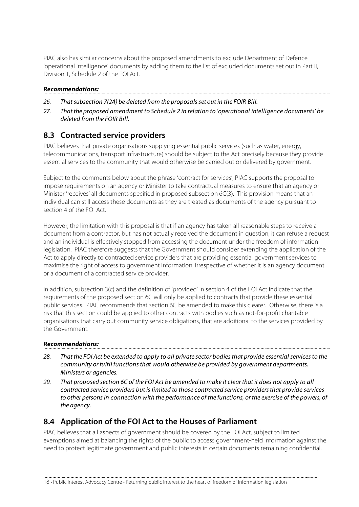PIAC also has similar concerns about the proposed amendments to exclude Department of Defence 'operational intelligence' documents by adding them to the list of excluded documents set out in Part II, Division 1, Schedule 2 of the FOI Act.

#### **Recommendations:**

- 26. That subsection 7(2A) be deleted from the proposals set out in the FOIR Bill.
- 27. That the proposed amendment to Schedule 2 in relation to 'operational intelligence documents' be deleted from the FOIR Bill.

## **8.3 Contracted service providers**

PIAC believes that private organisations supplying essential public services (such as water, energy, telecommunications, transport infrastructure) should be subject to the Act precisely because they provide essential services to the community that would otherwise be carried out or delivered by government.

Subject to the comments below about the phrase 'contract for services', PIAC supports the proposal to impose requirements on an agency or Minister to take contractual measures to ensure that an agency or Minister 'receives' all documents specified in proposed subsection 6C(3). This provision means that an individual can still access these documents as they are treated as documents of the agency pursuant to section 4 of the FOI Act.

However, the limitation with this proposal is that if an agency has taken all reasonable steps to receive a document from a contractor, but has not actually received the document in question, it can refuse a request and an individual is effectively stopped from accessing the document under the freedom of information legislation. PIAC therefore suggests that the Government should consider extending the application of the Act to apply directly to contracted service providers that are providing essential government services to maximise the right of access to government information, irrespective of whether it is an agency document or a document of a contracted service provider.

In addition, subsection 3(c) and the definition of 'provided' in section 4 of the FOI Act indicate that the requirements of the proposed section 6C will only be applied to contracts that provide these essential public services. PIAC recommends that section 6C be amended to make this clearer. Otherwise, there is a risk that this section could be applied to other contracts with bodies such as not-for-profit charitable organisations that carry out community service obligations, that are additional to the services provided by the Government.

#### **Recommendations:**

- 28. That the FOI Act be extended to apply to all private sector bodies that provide essential services to the community or fulfil functions that would otherwise be provided by government departments, Ministers or agencies.
- 29. That proposed section 6C of the FOI Act be amended to make it clear that it does not apply to all contracted service providers but is limited to those contracted service providers that provide services to other persons in connection with the performance of the functions, or the exercise of the powers, of the agency.

## **8.4 Application of the FOI Act to the Houses of Parliament**

PIAC believes that all aspects of government should be covered by the FOI Act, subject to limited exemptions aimed at balancing the rights of the public to access government-held information against the need to protect legitimate government and public interests in certain documents remaining confidential.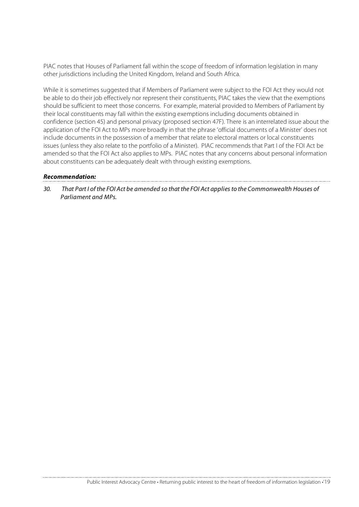PIAC notes that Houses of Parliament fall within the scope of freedom of information legislation in many other jurisdictions including the United Kingdom, Ireland and South Africa.

While it is sometimes suggested that if Members of Parliament were subject to the FOI Act they would not be able to do their job effectively nor represent their constituents, PIAC takes the view that the exemptions should be sufficient to meet those concerns. For example, material provided to Members of Parliament by their local constituents may fall within the existing exemptions including documents obtained in confidence (section 45) and personal privacy (proposed section 47F). There is an interrelated issue about the application of the FOI Act to MPs more broadly in that the phrase 'official documents of a Minister' does not include documents in the possession of a member that relate to electoral matters or local constituents issues (unless they also relate to the portfolio of a Minister). PIAC recommends that Part I of the FOI Act be amended so that the FOI Act also applies to MPs. PIAC notes that any concerns about personal information about constituents can be adequately dealt with through existing exemptions.

#### **Recommendation:**

30. That Part I of the FOI Act be amended so that the FOI Act applies to the Commonwealth Houses of Parliament and MPs.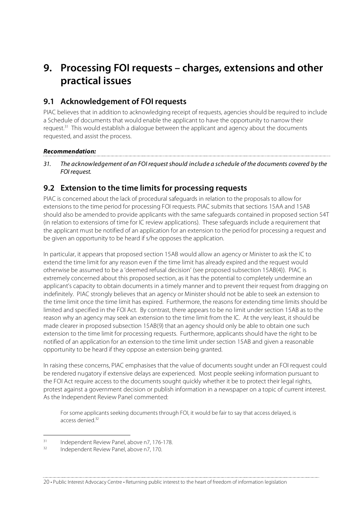## **9. Processing FOI requests – charges, extensions and other practical issues**

## **9.1 Acknowledgement of FOI requests**

PIAC believes that in addition to acknowledging receipt of requests, agencies should be required to include a Schedule of documents that would enable the applicant to have the opportunity to narrow their request.<sup>31</sup> This would establish a dialogue between the applicant and agency about the documents requested, and assist the process.

#### **Recommendation:**

31. The acknowledgement of an FOI request should include a schedule of the documents covered by the FOI request.

### **9.2 Extension to the time limits for processing requests**

PIAC is concerned about the lack of procedural safeguards in relation to the proposals to allow for extensions to the time period for processing FOI requests. PIAC submits that sections 15AA and 15AB should also be amended to provide applicants with the same safeguards contained in proposed section 54T (in relation to extensions of time for IC review applications). These safeguards include a requirement that the applicant must be notified of an application for an extension to the period for processing a request and be given an opportunity to be heard if s/he opposes the application.

In particular, it appears that proposed section 15AB would allow an agency or Minister to ask the IC to extend the time limit for any reason even if the time limit has already expired and the request would otherwise be assumed to be a 'deemed refusal decision' (see proposed subsection 15AB(4)). PIAC is extremely concerned about this proposed section, as it has the potential to completely undermine an applicant's capacity to obtain documents in a timely manner and to prevent their request from dragging on indefinitely. PIAC strongly believes that an agency or Minister should not be able to seek an extension to the time limit once the time limit has expired. Furthermore, the reasons for extending time limits should be limited and specified in the FOI Act. By contrast, there appears to be no limit under section 15AB as to the reason why an agency may seek an extension to the time limit from the IC. At the very least, it should be made clearer in proposed subsection 15AB(9) that an agency should only be able to obtain one such extension to the time limit for processing requests. Furthermore, applicants should have the right to be notified of an application for an extension to the time limit under section 15AB and given a reasonable opportunity to be heard if they oppose an extension being granted.

In raising these concerns, PIAC emphasises that the value of documents sought under an FOI request could be rendered nugatory if extensive delays are experienced. Most people seeking information pursuant to the FOI Act require access to the documents sought quickly whether it be to protect their legal rights, protest against a government decision or publish information in a newspaper on a topic of current interest. As the Independent Review Panel commented:

For some applicants seeking documents through FOI, it would be fair to say that access delayed, is access denied<sup>32</sup>

 $31$  Independent Review Panel, above n7, 176-178.

Independent Review Panel, above n7, 170.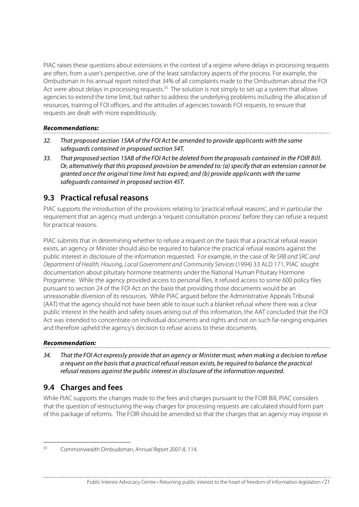PIAC raises these questions about extensions in the context of a regime where delays in processing requests are often, from a user's perspective, one of the least satisfactory aspects of the process. For example, the Ombudsman in his annual report noted that 34% of all complaints made to the Ombudsman about the FOI Act were about delays in processing requests.<sup>33</sup> The solution is not simply to set up a system that allows agencies to extend the time limit, but rather to address the underlying problems including the allocation of resources, training of FOI officers, and the attitudes of agencies towards FOI requests, to ensure that requests are dealt with more expeditiously.

#### **Recommendations:**

- 32. That proposed section 15AA of the FOI Act be amended to provide applicants with the same safeguards contained in proposed section 54T.
- 33. That proposed section 15AB of the FOI Act be deleted from the proposals contained in the FOIR Bill. Or, alternatively that this proposed provision be amended to: (a) specify that an extension cannot be granted once the original time limit has expired; and (b) provide applicants with the same safeguards contained in proposed section 45T.

## **9.3 Practical refusal reasons**

PIAC supports the introduction of the provisions relating to 'practical refusal reasons', and in particular the requirement that an agency must undergo a 'request consultation process' before they can refuse a request for practical reasons.

PIAC submits that in determining whether to refuse a request on the basis that a practical refusal reason exists, an agency or Minister should also be required to balance the practical refusal reasons against the public interest in disclosure of the information requested. For example, in the case of Re SRB and SRC and Department of Health, Housing, Local Government and Community Services(1994) 33 ALD 171, PIAC sought documentation about pituitary hormone treatments under the National Human Pituitary Hormone Programme. While the agency provided access to personal files, it refused access to some 600 policy files pursuant to section 24 of the FOI Act on the basis that providing those documents would be an unreasonable diversion of its resources. While PIAC argued before the Administrative Appeals Tribunal (AAT) that the agency should not have been able to issue such a blanket refusal where there was a clear public interest in the health and safety issues arising out of this information, the AAT concluded that the FOI Act was intended to concentrate on individual documents and rights and not on such far-ranging enquiries and therefore upheld the agency's decision to refuse access to these documents.

#### **Recommendation:**

34. That the FOI Act expressly provide that an agency or Minister must, when making a decision to refuse a request on the basis that a practical refusal reason exists, be required to balance the practical refusal reasons against the public interest in disclosure of the information requested.

## **9.4 Charges and fees**

While PIAC supports the changes made to the fees and charges pursuant to the FOIR Bill, PIAC considers that the question of restructuring the way charges for processing requests are calculated should form part of this package of reforms. The FOIR should be amended so that the charges that an agency may impose in

 <sup>33</sup> Commonwealth Ombudsman, Annual Report 2007-8, 114.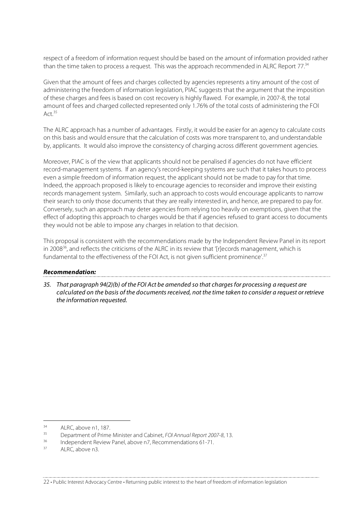respect of a freedom of information request should be based on the amount of information provided rather than the time taken to process a request. This was the approach recommended in ALRC Report 77.<sup>34</sup>

Given that the amount of fees and charges collected by agencies represents a tiny amount of the cost of administering the freedom of information legislation, PIAC suggests that the argument that the imposition of these charges and fees is based on cost recovery is highly flawed. For example, in 2007-8, the total amount of fees and charged collected represented only 1.76% of the total costs of administering the FOI Act  $35$ 

The ALRC approach has a number of advantages. Firstly, it would be easier for an agency to calculate costs on this basis and would ensure that the calculation of costs was more transparent to, and understandable by, applicants. It would also improve the consistency of charging across different government agencies.

Moreover, PIAC is of the view that applicants should not be penalised if agencies do not have efficient record-management systems. If an agency's record-keeping systems are such that it takes hours to process even a simple freedom of information request, the applicant should not be made to pay for that time. Indeed, the approach proposed is likely to encourage agencies to reconsider and improve their existing records management system. Similarly, such an approach to costs would encourage applicants to narrow their search to only those documents that they are really interested in, and hence, are prepared to pay for. Conversely, such an approach may deter agencies from relying too heavily on exemptions, given that the effect of adopting this approach to charges would be that if agencies refused to grant access to documents they would not be able to impose any charges in relation to that decision.

This proposal is consistent with the recommendations made by the Independent Review Panel in its report in 2008<sup>36</sup>, and reflects the criticisms of the ALRC in its review that '[r]ecords management, which is fundamental to the effectiveness of the FOI Act, is not given sufficient prominence'.<sup>37</sup>

#### **Recommendation:**

35. That paragraph 94(2)(b) of the FOI Act be amended so that charges for processing a request are calculated on the basis of the documents received, not the time taken to consider a request or retrieve the information requested.

 $\frac{34}{25}$  ALRC, above n1, 187.

<sup>&</sup>lt;sup>35</sup> Department of Prime Minister and Cabinet, FOI Annual Report 2007-8, 13.

<sup>&</sup>lt;sup>36</sup> Independent Review Panel, above n7, Recommendations 61-71.

ALRC, above n3.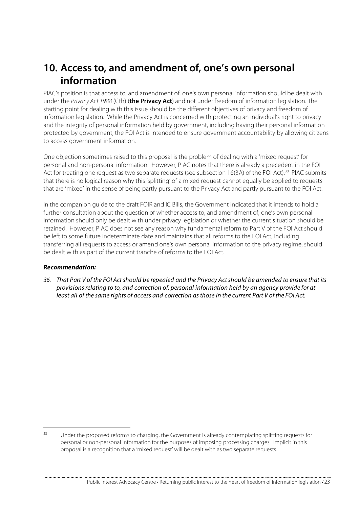## **10. Access to, and amendment of, one's own personal information**

PIAC's position is that access to, and amendment of, one's own personal information should be dealt with under the Privacy Act 1988 (Cth) (**the Privacy Act**) and not under freedom of information legislation. The starting point for dealing with this issue should be the different objectives of privacy and freedom of information legislation. While the Privacy Act is concerned with protecting an individual's right to privacy and the integrity of personal information held by government, including having their personal information protected by government, the FOI Act is intended to ensure government accountability by allowing citizens to access government information.

One objection sometimes raised to this proposal is the problem of dealing with a 'mixed request' for personal and non-personal information. However, PIAC notes that there is already a precedent in the FOI Act for treating one request as two separate requests (see subsection  $16(3A)$  of the FOI Act).<sup>38</sup> PIAC submits that there is no logical reason why this 'splitting' of a mixed request cannot equally be applied to requests that are 'mixed' in the sense of being partly pursuant to the Privacy Act and partly pursuant to the FOI Act.

In the companion guide to the draft FOIR and IC Bills, the Government indicated that it intends to hold a further consultation about the question of whether access to, and amendment of, one's own personal information should only be dealt with under privacy legislation or whether the current situation should be retained. However, PIAC does not see any reason why fundamental reform to Part V of the FOI Act should be left to some future indeterminate date and maintains that all reforms to the FOI Act, including transferring all requests to access or amend one's own personal information to the privacy regime, should be dealt with as part of the current tranche of reforms to the FOI Act.

#### **Recommendation:**

36. That Part V of the FOI Act should be repealed and the Privacy Act should be amended to ensure that its provisions relating to to, and correction of, personal information held by an agency provide for at least all of the same rights of access and correction as those in the current Part V of the FOI Act.

<sup>&</sup>lt;sup>38</sup> Under the proposed reforms to charging, the Government is already contemplating splitting requests for personal or non-personal information for the purposes of imposing processing charges. Implicit in this proposal is a recognition that a 'mixed request' will be dealt with as two separate requests.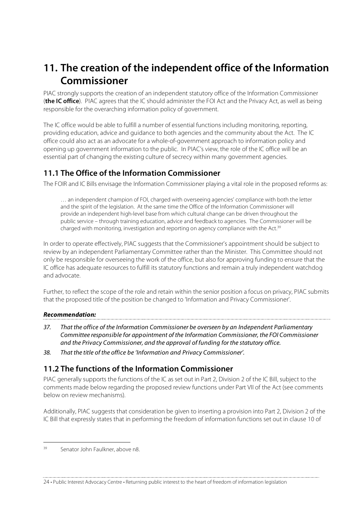## **11. The creation of the independent office of the Information Commissioner**

PIAC strongly supports the creation of an independent statutory office of the Information Commissioner (**the IC office**). PIAC agrees that the IC should administer the FOI Act and the Privacy Act, as well as being responsible for the overarching information policy of government.

The IC office would be able to fulfill a number of essential functions including monitoring, reporting, providing education, advice and guidance to both agencies and the community about the Act. The IC office could also act as an advocate for a whole-of-government approach to information policy and opening up government information to the public. In PIAC's view, the role of the IC office will be an essential part of changing the existing culture of secrecy within many government agencies.

## **11.1 The Office of the Information Commissioner**

The FOIR and IC Bills envisage the Information Commissioner playing a vital role in the proposed reforms as:

… an independent champion of FOI, charged with overseeing agencies' compliance with both the letter and the spirit of the legislation. At the same time the Office of the Information Commissioner will provide an independent high-level base from which cultural change can be driven throughout the public service – through training education, advice and feedback to agencies. The Commissioner will be charged with monitoring, investigation and reporting on agency compliance with the Act.<sup>39</sup>

In order to operate effectively, PIAC suggests that the Commissioner's appointment should be subject to review by an independent Parliamentary Committee rather than the Minister. This Committee should not only be responsible for overseeing the work of the office, but also for approving funding to ensure that the IC office has adequate resources to fulfill its statutory functions and remain a truly independent watchdog and advocate.

Further, to reflect the scope of the role and retain within the senior position a focus on privacy, PIAC submits that the proposed title of the position be changed to 'Information and Privacy Commissioner'.

#### **Recommendation:**

- 37. That the office of the Information Commissioner be overseen by an Independent Parliamentary Committee responsible for appointment of the Information Commissioner, the FOI Commissioner and the Privacy Commissioner, and the approval of funding for the statutory office.
- 38. That the title of the office be 'Information and Privacy Commissioner'.

## **11.2 The functions of the Information Commissioner**

PIAC generally supports the functions of the IC as set out in Part 2, Division 2 of the IC Bill, subject to the comments made below regarding the proposed review functions under Part VII of the Act (see comments below on review mechanisms).

Additionally, PIAC suggests that consideration be given to inserting a provision into Part 2, Division 2 of the IC Bill that expressly states that in performing the freedom of information functions set out in clause 10 of

 <sup>39</sup> Senator John Faulkner, above n8.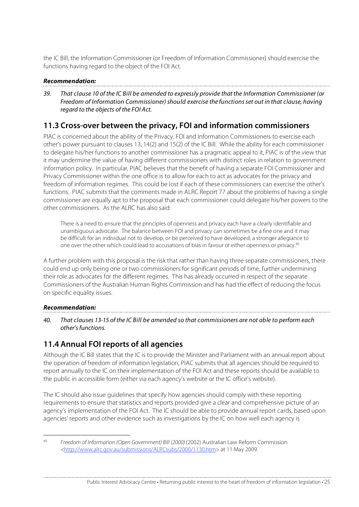the IC Bill, the Information Commissioner (or Freedom of Information Commissioner) should exercise the functions having regard to the object of the FOI Act.

#### **Recommendation:**

39. That clause 10 of the IC Bill be amended to expressly provide that the Information Commissioner (or Freedom of Information Commissioner) should exercise the functions set out in that clause, having regard to the objects of the FOI Act.

### **11.3 Cross-over between the privacy, FOI and information commissioners**

PIAC is concerned about the ability of the Privacy, FOI and Information Commissioners to exercise each other's power pursuant to clauses 13, 14(2) and 15(2) of the IC Bill. While the ability for each commissioner to delegate his/her functions to another commissioner has a pragmatic appeal to it, PIAC is of the view that it may undermine the value of having different commissioners with distinct roles in relation to government information policy. In particular, PIAC believes that the benefit of having a separate FOI Commissioner and Privacy Commissioner within the one office is to allow for each to act as advocates for the privacy and freedom of information regimes. This could be lost if each of these commissioners can exercise the other's functions. PIAC submits that the comments made in ALRC Report 77 about the problems of having a single commissioner are equally apt to the proposal that each commissioner could delegate his/her powers to the other commissioners. As the ALRC has also said:

There is a need to ensure that the principles of openness and privacy each have a clearly identifiable and unambiguous advocate. The balance between FOI and privacy can sometimes be a fine one and it may be difficult for an individual not to develop, or be perceived to have developed, a stronger allegiance to one over the other which could lead to accusations of bias in favour or either openness or privacy.40

A further problem with this proposal is the risk that rather than having three separate commissioners, there could end up only being one or two commissioners for significant periods of time, further undermining their role as advocates for the different regimes. This has already occurred in respect of the separate Commissioners of the Australian Human Rights Commission and has had the effect of reducing the focus on specific equality issues.

#### **Recommendation:**

40. That clauses 13-15 of the IC Bill be amended so that commissioners are not able to perform each other's functions.

### **11.4 Annual FOI reports of all agencies**

Although the IC Bill states that the IC is to provide the Minister and Parliament with an annual report about the operation of freedom of information legislation, PIAC submits that all agencies should be required to report annually to the IC on their implementation of the FOI Act and these reports should be available to the public in accessible form (either via each agency's website or the IC office's website).

The IC should also issue guidelines that specify how agencies should comply with these reporting requirements to ensure that statistics and reports provided give a clear and comprehensive picture of an agency's implementation of the FOI Act. The IC should be able to provide annual report cards, based upon agencies' reports and other evidence such as investigations by the IC on how well each agency is

<sup>&</sup>lt;sup>40</sup> Freedom of Information (Open Government) Bill (2000) (2002) Australian Law Reform Commission <http://www.alrc.gov.au/submissions/ALRCsubs/2000/1130.htm> at 11 May 2009.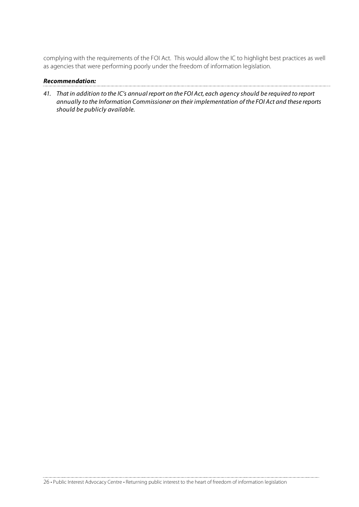complying with the requirements of the FOI Act. This would allow the IC to highlight best practices as well as agencies that were performing poorly under the freedom of information legislation.

#### **Recommendation:**

- 
- 41. That in addition to the IC's annual report on the FOI Act, each agency should be required to report annually to the Information Commissioner on their implementation of the FOI Act and these reports should be publicly available.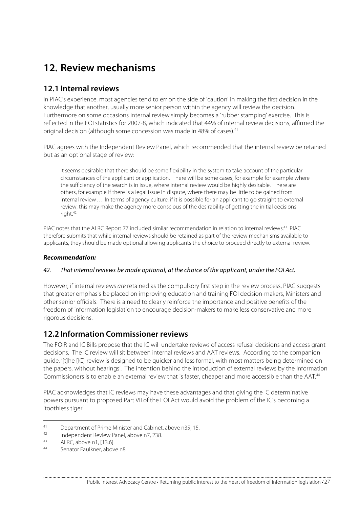## **12. Review mechanisms**

## **12.1 Internal reviews**

In PIAC's experience, most agencies tend to err on the side of 'caution' in making the first decision in the knowledge that another, usually more senior person within the agency will review the decision. Furthermore on some occasions internal review simply becomes a 'rubber stamping' exercise. This is reflected in the FOI statistics for 2007-8, which indicated that 44% of internal review decisions, affirmed the original decision (although some concession was made in 48% of cases).41

PIAC agrees with the Independent Review Panel, which recommended that the internal review be retained but as an optional stage of review:

It seems desirable that there should be some flexibility in the system to take account of the particular circumstances of the applicant or application. There will be some cases, for example for example where the sufficiency of the search is in issue, where internal review would be highly desirable. There are others, for example if there is a legal issue in dispute, where there may be little to be gained from internal review… In terms of agency culture, if it is possible for an applicant to go straight to external review, this may make the agency more conscious of the desirability of getting the initial decisions right.<sup>42</sup>

PIAC notes that the ALRC Report 77 included similar recommendation in relation to internal reviews.<sup>43</sup> PIAC therefore submits that while internal reviews should be retained as part of the review mechanisms available to applicants, they should be made optional allowing applicants the choice to proceed directly to external review.

#### **Recommendation:**

#### 42. That internal reviews be made optional, at the choice of the applicant, under the FOI Act.

However, if internal reviews are retained as the compulsory first step in the review process, PIAC suggests that greater emphasis be placed on improving education and training FOI decision-makers, Ministers and other senior officials. There is a need to clearly reinforce the importance and positive benefits of the freedom of information legislation to encourage decision-makers to make less conservative and more rigorous decisions.

### **12.2 Information Commissioner reviews**

The FOIR and IC Bills propose that the IC will undertake reviews of access refusal decisions and access grant decisions. The IC review will sit between internal reviews and AAT reviews. According to the companion guide, '[t]he [IC] review is designed to be quicker and less formal, with most matters being determined on the papers, without hearings'. The intention behind the introduction of external reviews by the Information Commissioners is to enable an external review that is faster, cheaper and more accessible than the AAT.44

PIAC acknowledges that IC reviews may have these advantages and that giving the IC determinative powers pursuant to proposed Part VII of the FOI Act would avoid the problem of the IC's becoming a 'toothless tiger'.

<sup>41</sup> Department of Prime Minister and Cabinet, above n35, 15.<br>
Independent Review Panel, above n7, 238.<br>
ALDC shows a 1, 13.61

 $ALRC$ , above n1, [13.6].

Senator Faulkner, above n8.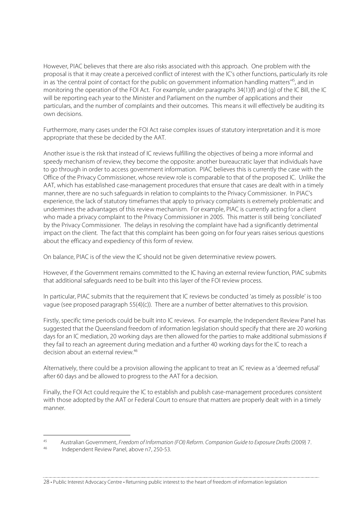However, PIAC believes that there are also risks associated with this approach. One problem with the proposal is that it may create a perceived conflict of interest with the IC's other functions, particularly its role in as 'the central point of contact for the public on government information handling matters<sup>'45</sup>, and in monitoring the operation of the FOI Act. For example, under paragraphs 34(1)(f) and (g) of the IC Bill, the IC will be reporting each year to the Minister and Parliament on the number of applications and their particulars, and the number of complaints and their outcomes. This means it will effectively be auditing its own decisions.

Furthermore, many cases under the FOI Act raise complex issues of statutory interpretation and it is more appropriate that these be decided by the AAT.

Another issue is the risk that instead of IC reviews fulfilling the objectives of being a more informal and speedy mechanism of review, they become the opposite: another bureaucratic layer that individuals have to go through in order to access government information. PIAC believes this is currently the case with the Office of the Privacy Commissioner, whose review role is comparable to that of the proposed IC. Unlike the AAT, which has established case-management procedures that ensure that cases are dealt with in a timely manner, there are no such safeguards in relation to complaints to the Privacy Commissioner. In PIAC's experience, the lack of statutory timeframes that apply to privacy complaints is extremely problematic and undermines the advantages of this review mechanism. For example, PIAC is currently acting for a client who made a privacy complaint to the Privacy Commissioner in 2005. This matter is still being 'conciliated' by the Privacy Commissioner. The delays in resolving the complaint have had a significantly detrimental impact on the client. The fact that this complaint has been going on for four years raises serious questions about the efficacy and expediency of this form of review.

On balance, PIAC is of the view the IC should not be given determinative review powers.

However, if the Government remains committed to the IC having an external review function, PIAC submits that additional safeguards need to be built into this layer of the FOI review process.

In particular, PIAC submits that the requirement that IC reviews be conducted 'as timely as possible' is too vague (see proposed paragraph 55(4)(c)). There are a number of better alternatives to this provision.

Firstly, specific time periods could be built into IC reviews. For example, the Independent Review Panel has suggested that the Queensland freedom of information legislation should specify that there are 20 working days for an IC mediation, 20 working days are then allowed for the parties to make additional submissions if they fail to reach an agreement during mediation and a further 40 working days for the IC to reach a decision about an external review.46

Alternatively, there could be a provision allowing the applicant to treat an IC review as a 'deemed refusal' after 60 days and be allowed to progress to the AAT for a decision.

Finally, the FOI Act could require the IC to establish and publish case-management procedures consistent with those adopted by the AAT or Federal Court to ensure that matters are properly dealt with in a timely manner.

<sup>45</sup> Australian Government, Freedom of Information (FOI) Reform. Companion Guide to Exposure Drafts (2009) 7.<br>46 Independent Review Panel, above n7, 250-53.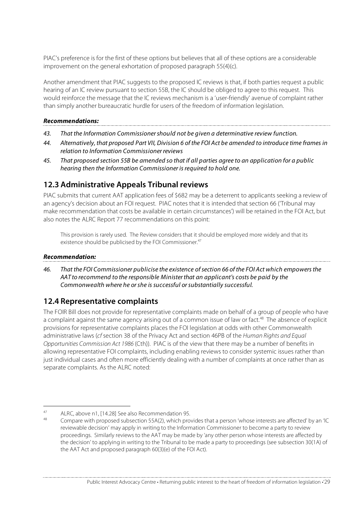PIAC's preference is for the first of these options but believes that all of these options are a considerable improvement on the general exhortation of proposed paragraph 55(4)(c).

Another amendment that PIAC suggests to the proposed IC reviews is that, if both parties request a public hearing of an IC review pursuant to section 55B, the IC should be obliged to agree to this request. This would reinforce the message that the IC reviews mechanism is a 'user-friendly' avenue of complaint rather than simply another bureaucratic hurdle for users of the freedom of information legislation.

#### **Recommendations:**

- 43. That the Information Commissioner should not be given a determinative review function.
- 44. Alternatively, that proposed Part VII, Division 6 of the FOI Act be amended to introduce time frames in relation to Information Commissioner reviews
- 45. That proposed section 55B be amended so that if all parties agree to an application for a public hearing then the Information Commissioner is required to hold one.

### **12.3 Administrative Appeals Tribunal reviews**

PIAC submits that current AAT application fees of \$682 may be a deterrent to applicants seeking a review of an agency's decision about an FOI request. PIAC notes that it is intended that section 66 ('Tribunal may make recommendation that costs be available in certain circumstances') will be retained in the FOI Act, but also notes the ALRC Report 77 recommendations on this point:

This provision is rarely used. The Review considers that it should be employed more widely and that its existence should be publicised by the FOI Commissioner.<sup>47</sup>

#### **Recommendation:**

46. That the FOI Commissioner publicise the existence of section 66 of the FOI Act which empowers the AAT to recommend to the responsible Minister that an applicant's costs be paid by the Commonwealth where he or she is successful or substantially successful.

### **12.4 Representative complaints**

The FOIR Bill does not provide for representative complaints made on behalf of a group of people who have a complaint against the same agency arising out of a common issue of law or fact.<sup>48</sup> The absence of explicit provisions for representative complaints places the FOI legislation at odds with other Commonwealth administrative laws (cf section 38 of the Privacy Act and section 46PB of the Human Rights and Equal Opportunities Commission Act 1986 (Cth)). PIAC is of the view that there may be a number of benefits in allowing representative FOI complaints, including enabling reviews to consider systemic issues rather than just individual cases and often more efficiently dealing with a number of complaints at once rather than as separate complaints. As the ALRC noted:

<sup>47</sup> ALRC, above n1, [14.28] See also Recommendation 95.

<sup>48</sup> Compare with proposed subsection 55A(2), which provides that a person 'whose interests are affected' by an 'IC reviewable decision' may apply in writing to the Information Commissioner to become a party to review proceedings. Similarly reviews to the AAT may be made by 'any other person whose interests are affected by the decision' to applying in writing to the Tribunal to be made a party to proceedings (see subsection 30(1A) of the AAT Act and proposed paragraph 60(3)(e) of the FOI Act).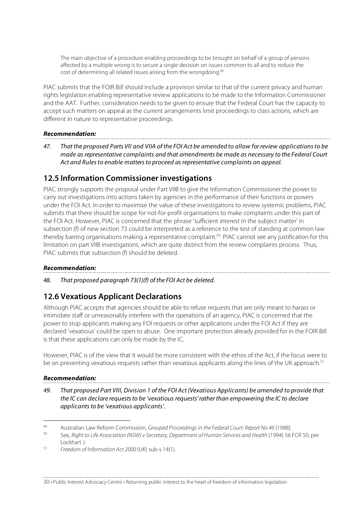The main objective of a procedure enabling proceedings to be brought on behalf of a group of persons affected by a multiple wrong is to secure a single decision on issues common to all and to reduce the cost of determining all related issues arising from the wrongdoing.49

PIAC submits that the FOIR Bill should include a provision similar to that of the current privacy and human rights legislation enabling representative review applications to be made to the Information Commissioner and the AAT. Further, consideration needs to be given to ensure that the Federal Court has the capacity to accept such matters on appeal as the current arrangements limit proceedings to class actions, which are different in nature to representative proceedings.

#### **Recommendation:**

47. That the proposed Parts VII and VIIA of the FOI Act be amended to allow for review applications to be made as representative complaints and that amendments be made as necessary to the Federal Court Act and Rules to enable matters to proceed as representative complaints on appeal.

### **12.5 Information Commissioner investigations**

PIAC strongly supports the proposal under Part VIIB to give the Information Commissioner the power to carry out investigations into actions taken by agencies in the performance of their functions or powers under the FOI Act. In order to maximise the value of these investigations to review systemic problems, PIAC submits that there should be scope for not-for-profit organisations to make complaints under this part of the FOI Act. However, PIAC is concerned that the phrase 'sufficient interest in the subject matter' in subsection (f) of new section 73 could be interpreted as a reference to the test of standing at common law thereby barring organisations making a representative complaint.<sup>50</sup> PIAC cannot see any justification for this limitation on part VIIB investigations, which are quite distinct from the review complaints process. Thus, PIAC submits that subsection (f) should be deleted.

#### **Recommendation:**

48. That proposed paragraph 73(1)(f) of the FOI Act be deleted.

### **12.6 Vexatious Applicant Declarations**

Although PIAC accepts that agencies should be able to refuse requests that are only meant to harass or intimidate staff or unreasonably interfere with the operations of an agency, PIAC is concerned that the power to stop applicants making any FOI requests or other applications under the FOI Act if they are declared 'vexatious' could be open to abuse. One important protection already provided for in the FOIR Bill is that these applications can only be made by the IC.

However, PIAC is of the view that it would be more consistent with the ethos of the Act, if the focus were to be on preventing vexatious requests rather than vexatious applicants along the lines of the UK approach.<sup>51</sup>

#### **Recommendation:**

49. That proposed Part VIII, Division 1 of the FOI Act (Vexatious Applicants) be amended to provide that the IC can declare requests to be 'vexatious requests' rather than empowering the IC to declare applicants to be 'vexatious applicants'.

 <sup>49</sup> Australian Law Reform Commission, Grouped Proceedings in the Federal Court: Report No 46 (1988).

<sup>50</sup> See, Right to Life Association (NSW) v Secretary, Department of Human Services and Health (1994) 56 FCR 50, per Lockhart J.

<sup>51</sup> Freedom of Information Act 2000 (UK) sub-s 14(1).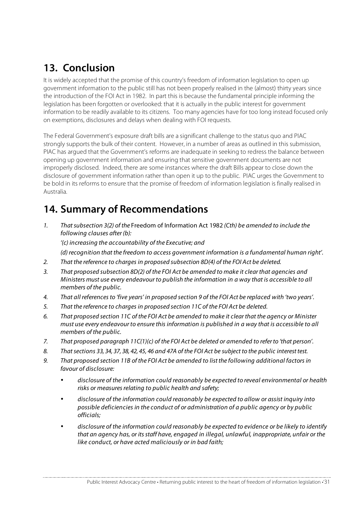## **13. Conclusion**

It is widely accepted that the promise of this country's freedom of information legislation to open up government information to the public still has not been properly realised in the (almost) thirty years since the introduction of the FOI Act in 1982. In part this is because the fundamental principle informing the legislation has been forgotten or overlooked: that it is actually in the public interest for government information to be readily available to its citizens. Too many agencies have for too long instead focused only on exemptions, disclosures and delays when dealing with FOI requests.

The Federal Government's exposure draft bills are a significant challenge to the status quo and PIAC strongly supports the bulk of their content. However, in a number of areas as outlined in this submission, PIAC has argued that the Government's reforms are inadequate in seeking to redress the balance between opening up government information and ensuring that sensitive government documents are not improperly disclosed. Indeed, there are some instances where the draft Bills appear to close down the disclosure of government information rather than open it up to the public. PIAC urges the Government to be bold in its reforms to ensure that the promise of freedom of information legislation is finally realised in Australia.

## **14. Summary of Recommendations**

1. That subsection 3(2) of the Freedom of Information Act 1982 (Cth) be amended to include the following clauses after (b):

'(c) increasing the accountability of the Executive; and

(d) recognition that the freedom to access government information is a fundamental human right'.

- 2. That the reference to charges in proposed subsection 8D(4) of the FOI Act be deleted.
- 3. That proposed subsection 8D(2) of the FOI Act be amended to make it clear that agencies and Ministers must use every endeavour to publish the information in a way that is accessible to all members of the public.
- 4. That all references to 'five years' in proposed section 9 of the FOI Act be replaced with 'two years'.
- 5. That the reference to charges in proposed section 11C of the FOI Act be deleted.
- 6. That proposed section 11C of the FOI Act be amended to make it clear that the agency or Minister must use every endeavour to ensure this information is published in a way that is accessible to all members of the public.
- 7. That proposed paragraph 11C(1)(c) of the FOI Act be deleted or amended to refer to 'that person'.
- 8. That sections 33, 34, 37, 38, 42, 45, 46 and 47A of the FOI Act be subject to the public interest test.
- 9. That proposed section 11B of the FOI Act be amended to list the following additional factors in favour of disclosure:
	- disclosure of the information could reasonably be expected to reveal environmental or health risks or measures relating to public health and safety;
	- disclosure of the information could reasonably be expected to allow or assist inquiry into possible deficiencies in the conduct of or administration of a public agency or by public officials;
	- disclosure of the information could reasonably be expected to evidence or be likely to identify that an agency has, or its staff have, engaged in illegal, unlawful, inappropriate, unfair or the like conduct, or have acted maliciously or in bad faith;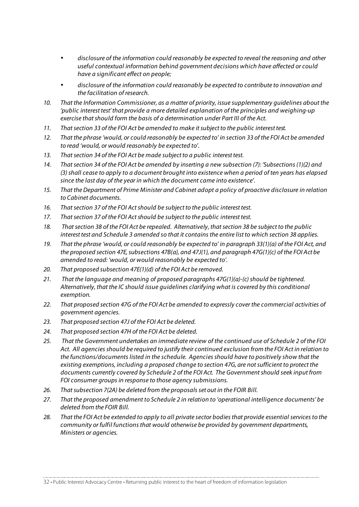- disclosure of the information could reasonably be expected to reveal the reasoning and other useful contextual information behind government decisions which have affected or could have a significant effect on people;
- disclosure of the information could reasonably be expected to contribute to innovation and the facilitation of research.
- 10. That the Information Commissioner, as a matter of priority, issue supplementary guidelines about the 'public interest test' that provide a more detailed explanation of the principles and weighing-up exercise that should form the basis of a determination under Part III of the Act.
- 11. That section 33 of the FOI Act be amended to make it subject to the public interest test.
- 12. That the phrase 'would, or could reasonably be expected to' in section 33 of the FOI Act be amended to read 'would, or would reasonably be expected to'.
- 13. That section 34 of the FOI Act be made subject to a public interest test.
- 14. That section 34 of the FOI Act be amended by inserting a new subsection (7): 'Subsections (1)(2) and (3) shall cease to apply to a document brought into existence when a period of ten years has elapsed since the last day of the year in which the document came into existence'.
- 15. That the Department of Prime Minister and Cabinet adopt a policy of proactive disclosure in relation to Cabinet documents.
- 16. That section 37 of the FOI Act should be subject to the public interest test.
- 17. That section 37 of the FOI Act should be subject to the public interest test.
- 18. That section 38 of the FOI Act be repealed. Alternatively, that section 38 be subject to the public interest test and Schedule 3 amended so that it contains the entire list to which section 38 applies.
- 19. That the phrase 'would, or could reasonably be expected to' in paragraph 33(1)(a) of the FOI Act, and the proposed section 47E, subsections 47B(a), and 47J(1), and paragraph 47G(1)(c) of the FOI Act be amended to read: 'would, or would reasonably be expected to'.
- 20. That proposed subsection 47E(1)(d) of the FOI Act be removed.
- 21. That the language and meaning of proposed paragraphs 47G(1)(a)-(c) should be tightened. Alternatively, that the IC should issue guidelines clarifying what is covered by this conditional exemption.
- 22. That proposed section 47G of the FOI Act be amended to expressly cover the commercial activities of government agencies.
- 23. That proposed section 47J of the FOI Act be deleted.
- 24. That proposed section 47H of the FOI Act be deleted.
- 25. That the Government undertakes an immediate review of the continued use of Schedule 2 of the FOI Act. All agencies should be required to justify their continued exclusion from the FOI Act in relation to the functions/documents listed in the schedule. Agencies should have to positively show that the existing exemptions, including a proposed change to section 47G, are not sufficient to protect the documents currently covered by Schedule 2 of the FOI Act. The Government should seek input from FOI consumer groups in response to those agency submissions.
- 26. That subsection 7(2A) be deleted from the proposals set out in the FOIR Bill.
- 27. That the proposed amendment to Schedule 2 in relation to 'operational intelligence documents' be deleted from the FOIR Bill.
- 28. That the FOI Act be extended to apply to all private sector bodies that provide essential services to the community or fulfil functions that would otherwise be provided by government departments, Ministers or agencies.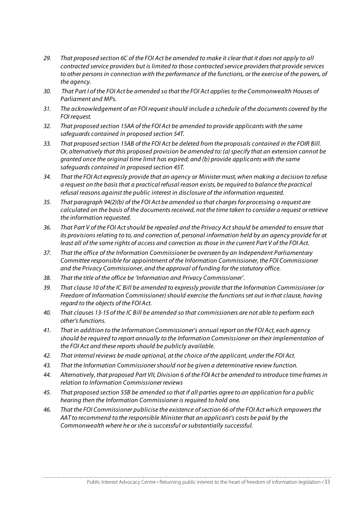- 29. That proposed section 6C of the FOI Act be amended to make it clear that it does not apply to all contracted service providers but is limited to those contracted service providers that provide services to other persons in connection with the performance of the functions, or the exercise of the powers, of the agency.
- 30. That Part I of the FOI Act be amended so that the FOI Act applies to the Commonwealth Houses of Parliament and MPs.
- 31. The acknowledgement of an FOI request should include a schedule of the documents covered by the FOI request.
- 32. That proposed section 15AA of the FOI Act be amended to provide applicants with the same safeguards contained in proposed section 54T.
- 33. That proposed section 15AB of the FOI Act be deleted from the proposals contained in the FOIR Bill. Or, alternatively that this proposed provision be amended to: (a) specify that an extension cannot be granted once the original time limit has expired; and (b) provide applicants with the same safeguards contained in proposed section 45T.
- 34. That the FOI Act expressly provide that an agency or Minister must, when making a decision to refuse a request on the basis that a practical refusal reason exists, be required to balance the practical refusal reasons against the public interest in disclosure of the information requested.
- 35. That paragraph 94(2)(b) of the FOI Act be amended so that charges for processing a request are calculated on the basis of the documents received, not the time taken to consider a request or retrieve the information requested.
- 36. That Part V of the FOI Act should be repealed and the Privacy Act should be amended to ensure that its provisions relating to to, and correction of, personal information held by an agency provide for at least all of the same rights of access and correction as those in the current Part V of the FOI Act.
- 37. That the office of the Information Commissioner be overseen by an Independent Parliamentary Committee responsible for appointment of the Information Commissioner, the FOI Commissioner and the Privacy Commissioner, and the approval of funding for the statutory office.
- 38. That the title of the office be 'Information and Privacy Commissioner'.
- 39. That clause 10 of the IC Bill be amended to expressly provide that the Information Commissioner (or Freedom of Information Commissioner) should exercise the functions set out in that clause, having regard to the objects of the FOI Act.
- 40. That clauses 13-15 of the IC Bill be amended so that commissioners are not able to perform each other's functions.
- 41. That in addition to the Information Commissioner's annual report on the FOI Act, each agency should be required to report annually to the Information Commissioner on their implementation of the FOI Act and these reports should be publicly available.
- 42. That internal reviews be made optional, at the choice of the applicant, under the FOI Act.
- 43. That the Information Commissioner should not be given a determinative review function.
- 44. Alternatively, that proposed Part VII, Division 6 of the FOI Act be amended to introduce time frames in relation to Information Commissioner reviews
- 45. That proposed section 55B be amended so that if all parties agree to an application for a public hearing then the Information Commissioner is required to hold one.
- 46. That the FOI Commissioner publicise the existence of section 66 of the FOI Act which empowers the AAT to recommend to the responsible Minister that an applicant's costs be paid by the Commonwealth where he or she is successful or substantially successful.